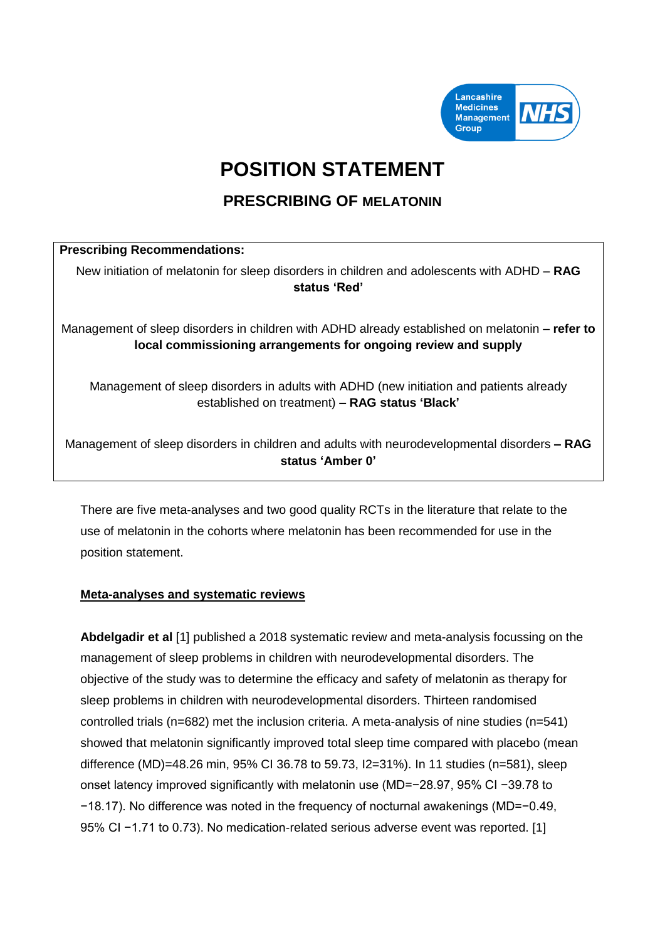

# **POSITION STATEMENT**

# **PRESCRIBING OF MELATONIN**

## **Prescribing Recommendations:**

New initiation of melatonin for sleep disorders in children and adolescents with ADHD – **RAG status 'Red'**

Management of sleep disorders in children with ADHD already established on melatonin **– refer to local commissioning arrangements for ongoing review and supply**

Management of sleep disorders in adults with ADHD (new initiation and patients already established on treatment) **– RAG status 'Black'**

Management of sleep disorders in children and adults with neurodevelopmental disorders **– RAG status 'Amber 0'**

There are five meta-analyses and two good quality RCTs in the literature that relate to the use of melatonin in the cohorts where melatonin has been recommended for use in the position statement.

### **Meta-analyses and systematic reviews**

**Abdelgadir et al** [1] published a 2018 systematic review and meta-analysis focussing on the management of sleep problems in children with neurodevelopmental disorders. The objective of the study was to determine the efficacy and safety of melatonin as therapy for sleep problems in children with neurodevelopmental disorders. Thirteen randomised controlled trials (n=682) met the inclusion criteria. A meta-analysis of nine studies (n=541) showed that melatonin significantly improved total sleep time compared with placebo (mean difference (MD)=48.26 min, 95% CI 36.78 to 59.73, I2=31%). In 11 studies (n=581), sleep onset latency improved significantly with melatonin use (MD=−28.97, 95% CI −39.78 to −18.17). No difference was noted in the frequency of nocturnal awakenings (MD=−0.49, 95% CI −1.71 to 0.73). No medication-related serious adverse event was reported. [1]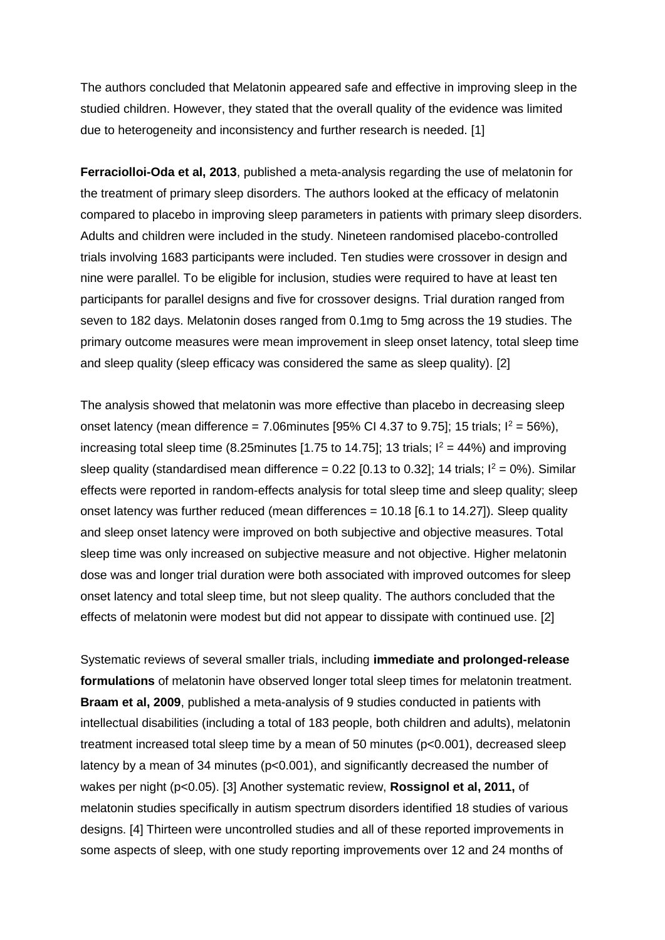The authors concluded that Melatonin appeared safe and effective in improving sleep in the studied children. However, they stated that the overall quality of the evidence was limited due to heterogeneity and inconsistency and further research is needed. [1]

**Ferraciolloi-Oda et al, 2013**, published a meta-analysis regarding the use of melatonin for the treatment of primary sleep disorders. The authors looked at the efficacy of melatonin compared to placebo in improving sleep parameters in patients with primary sleep disorders. Adults and children were included in the study. Nineteen randomised placebo-controlled trials involving 1683 participants were included. Ten studies were crossover in design and nine were parallel. To be eligible for inclusion, studies were required to have at least ten participants for parallel designs and five for crossover designs. Trial duration ranged from seven to 182 days. Melatonin doses ranged from 0.1mg to 5mg across the 19 studies. The primary outcome measures were mean improvement in sleep onset latency, total sleep time and sleep quality (sleep efficacy was considered the same as sleep quality). [2]

The analysis showed that melatonin was more effective than placebo in decreasing sleep onset latency (mean difference = 7.06minutes [95% CI 4.37 to 9.75]; 15 trials;  $I^2 = 56\%$ ), increasing total sleep time (8.25minutes [1.75 to 14.75]; 13 trials;  $I^2 = 44\%$ ) and improving sleep quality (standardised mean difference = 0.22 [0.13 to 0.32]; 14 trials;  $I^2 = 0\%$ ). Similar effects were reported in random-effects analysis for total sleep time and sleep quality; sleep onset latency was further reduced (mean differences = 10.18 [6.1 to 14.27]). Sleep quality and sleep onset latency were improved on both subjective and objective measures. Total sleep time was only increased on subjective measure and not objective. Higher melatonin dose was and longer trial duration were both associated with improved outcomes for sleep onset latency and total sleep time, but not sleep quality. The authors concluded that the effects of melatonin were modest but did not appear to dissipate with continued use. [2]

Systematic reviews of several smaller trials, including **immediate and prolonged-release formulations** of melatonin have observed longer total sleep times for melatonin treatment. **Braam et al, 2009**, published a meta-analysis of 9 studies conducted in patients with intellectual disabilities (including a total of 183 people, both children and adults), melatonin treatment increased total sleep time by a mean of 50 minutes (p<0.001), decreased sleep latency by a mean of 34 minutes (p<0.001), and significantly decreased the number of wakes per night (p<0.05). [3] Another systematic review, **Rossignol et al, 2011,** of melatonin studies specifically in autism spectrum disorders identified 18 studies of various designs. [4] Thirteen were uncontrolled studies and all of these reported improvements in some aspects of sleep, with one study reporting improvements over 12 and 24 months of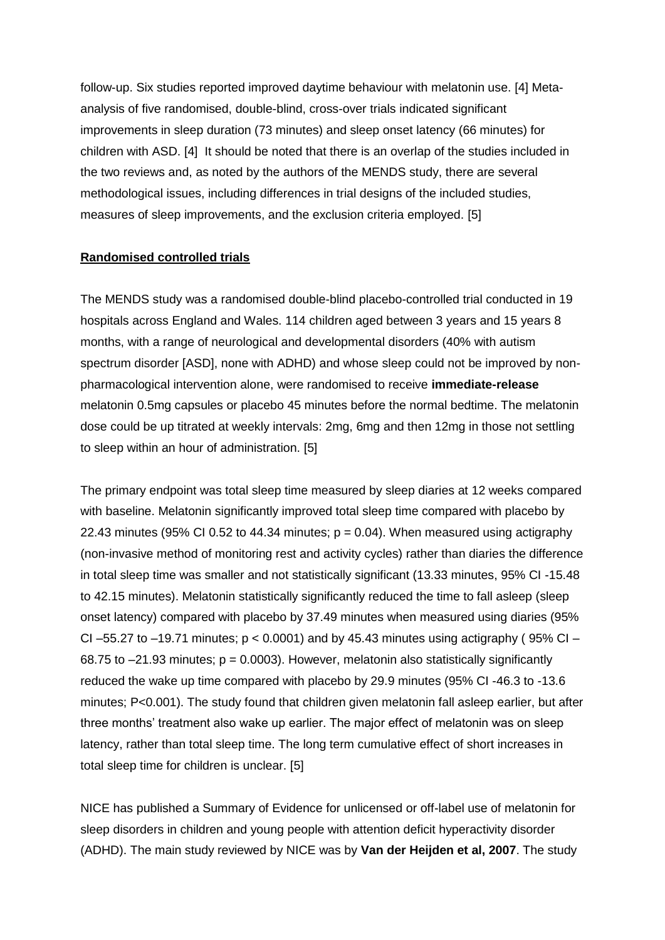follow-up. Six studies reported improved daytime behaviour with melatonin use. [4] Metaanalysis of five randomised, double-blind, cross-over trials indicated significant improvements in sleep duration (73 minutes) and sleep onset latency (66 minutes) for children with ASD. [4] It should be noted that there is an overlap of the studies included in the two reviews and, as noted by the authors of the MENDS study, there are several methodological issues, including differences in trial designs of the included studies, measures of sleep improvements, and the exclusion criteria employed. [5]

#### **Randomised controlled trials**

The MENDS study was a randomised double-blind placebo-controlled trial conducted in 19 hospitals across England and Wales. 114 children aged between 3 years and 15 years 8 months, with a range of neurological and developmental disorders (40% with autism spectrum disorder [ASD], none with ADHD) and whose sleep could not be improved by nonpharmacological intervention alone, were randomised to receive **immediate-release** melatonin 0.5mg capsules or placebo 45 minutes before the normal bedtime. The melatonin dose could be up titrated at weekly intervals: 2mg, 6mg and then 12mg in those not settling to sleep within an hour of administration. [5]

The primary endpoint was total sleep time measured by sleep diaries at 12 weeks compared with baseline. Melatonin significantly improved total sleep time compared with placebo by 22.43 minutes (95% CI 0.52 to 44.34 minutes;  $p = 0.04$ ). When measured using actigraphy (non-invasive method of monitoring rest and activity cycles) rather than diaries the difference in total sleep time was smaller and not statistically significant (13.33 minutes, 95% CI -15.48 to 42.15 minutes). Melatonin statistically significantly reduced the time to fall asleep (sleep onset latency) compared with placebo by 37.49 minutes when measured using diaries (95% CI –55.27 to –19.71 minutes;  $p < 0.0001$ ) and by 45.43 minutes using actigraphy (95% CI – 68.75 to  $-21.93$  minutes;  $p = 0.0003$ . However, melatonin also statistically significantly reduced the wake up time compared with placebo by 29.9 minutes (95% CI -46.3 to -13.6 minutes; P<0.001). The study found that children given melatonin fall asleep earlier, but after three months' treatment also wake up earlier. The major effect of melatonin was on sleep latency, rather than total sleep time. The long term cumulative effect of short increases in total sleep time for children is unclear. [5]

NICE has published a Summary of Evidence for unlicensed or off-label use of melatonin for sleep disorders in children and young people with attention deficit hyperactivity disorder (ADHD). The main study reviewed by NICE was by **Van der Heijden et al, 2007**. The study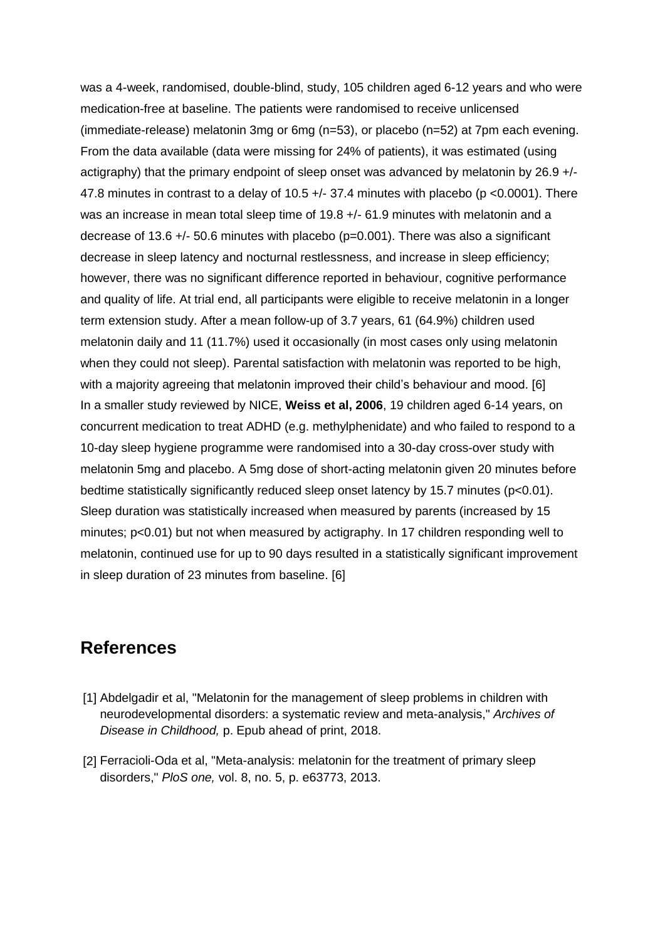was a 4-week, randomised, double-blind, study, 105 children aged 6-12 years and who were medication-free at baseline. The patients were randomised to receive unlicensed (immediate-release) melatonin 3mg or 6mg (n=53), or placebo (n=52) at 7pm each evening. From the data available (data were missing for 24% of patients), it was estimated (using actigraphy) that the primary endpoint of sleep onset was advanced by melatonin by 26.9 +/- 47.8 minutes in contrast to a delay of 10.5  $+/-$  37.4 minutes with placebo (p <0.0001). There was an increase in mean total sleep time of 19.8 +/- 61.9 minutes with melatonin and a decrease of 13.6 +/- 50.6 minutes with placebo (p=0.001). There was also a significant decrease in sleep latency and nocturnal restlessness, and increase in sleep efficiency; however, there was no significant difference reported in behaviour, cognitive performance and quality of life. At trial end, all participants were eligible to receive melatonin in a longer term extension study. After a mean follow-up of 3.7 years, 61 (64.9%) children used melatonin daily and 11 (11.7%) used it occasionally (in most cases only using melatonin when they could not sleep). Parental satisfaction with melatonin was reported to be high, with a majority agreeing that melatonin improved their child's behaviour and mood. [6] In a smaller study reviewed by NICE, **Weiss et al, 2006**, 19 children aged 6-14 years, on concurrent medication to treat ADHD (e.g. methylphenidate) and who failed to respond to a 10-day sleep hygiene programme were randomised into a 30-day cross-over study with melatonin 5mg and placebo. A 5mg dose of short-acting melatonin given 20 minutes before bedtime statistically significantly reduced sleep onset latency by 15.7 minutes (p<0.01). Sleep duration was statistically increased when measured by parents (increased by 15 minutes; p<0.01) but not when measured by actigraphy. In 17 children responding well to melatonin, continued use for up to 90 days resulted in a statistically significant improvement in sleep duration of 23 minutes from baseline. [6]

# **References**

- [1] Abdelgadir et al, "Melatonin for the management of sleep problems in children with neurodevelopmental disorders: a systematic review and meta-analysis," *Archives of Disease in Childhood,* p. Epub ahead of print, 2018.
- [2] Ferracioli-Oda et al, "Meta-analysis: melatonin for the treatment of primary sleep disorders," *PloS one,* vol. 8, no. 5, p. e63773, 2013.